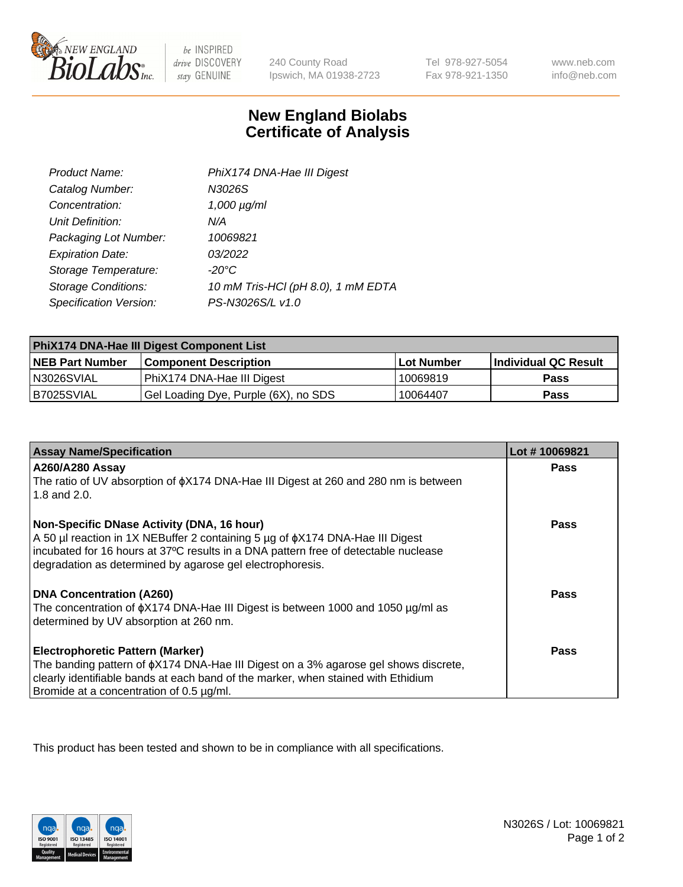

 $be$  INSPIRED drive DISCOVERY stay GENUINE

240 County Road Ipswich, MA 01938-2723

Tel 978-927-5054 Fax 978-921-1350

www.neb.com info@neb.com

## **New England Biolabs Certificate of Analysis**

| Product Name:              | PhiX174 DNA-Hae III Digest         |
|----------------------------|------------------------------------|
| Catalog Number:            | N3026S                             |
| Concentration:             | $1,000 \mu g/ml$                   |
| Unit Definition:           | N/A                                |
| Packaging Lot Number:      | 10069821                           |
| <b>Expiration Date:</b>    | 03/2022                            |
| Storage Temperature:       | -20°C                              |
| <b>Storage Conditions:</b> | 10 mM Tris-HCl (pH 8.0), 1 mM EDTA |
| Specification Version:     | PS-N3026S/L v1.0                   |

| PhiX174 DNA-Hae III Digest Component List |                                      |                   |                      |  |
|-------------------------------------------|--------------------------------------|-------------------|----------------------|--|
| <b>NEB Part Number</b>                    | <b>Component Description</b>         | <b>Lot Number</b> | Individual QC Result |  |
| N3026SVIAL                                | PhiX174 DNA-Hae III Digest           | 10069819          | <b>Pass</b>          |  |
| B7025SVIAL                                | Gel Loading Dye, Purple (6X), no SDS | 10064407          | <b>Pass</b>          |  |

| <b>Assay Name/Specification</b>                                                                                                                                                                                                                                                                          | Lot #10069821 |
|----------------------------------------------------------------------------------------------------------------------------------------------------------------------------------------------------------------------------------------------------------------------------------------------------------|---------------|
| <b>A260/A280 Assay</b><br>The ratio of UV absorption of $\phi$ X174 DNA-Hae III Digest at 260 and 280 nm is between                                                                                                                                                                                      | <b>Pass</b>   |
| 1.8 and $2.0$ .<br>Non-Specific DNase Activity (DNA, 16 hour)<br>A 50 µl reaction in 1X NEBuffer 2 containing 5 µg of $\phi$ X174 DNA-Hae III Digest<br>incubated for 16 hours at 37°C results in a DNA pattern free of detectable nuclease<br>degradation as determined by agarose gel electrophoresis. | Pass          |
| <b>DNA Concentration (A260)</b><br>The concentration of $\phi$ X174 DNA-Hae III Digest is between 1000 and 1050 µg/ml as<br>determined by UV absorption at 260 nm.                                                                                                                                       | Pass          |
| <b>Electrophoretic Pattern (Marker)</b><br>The banding pattern of $\phi$ X174 DNA-Hae III Digest on a 3% agarose gel shows discrete,<br>clearly identifiable bands at each band of the marker, when stained with Ethidium<br>Bromide at a concentration of 0.5 µg/ml.                                    | Pass          |

This product has been tested and shown to be in compliance with all specifications.